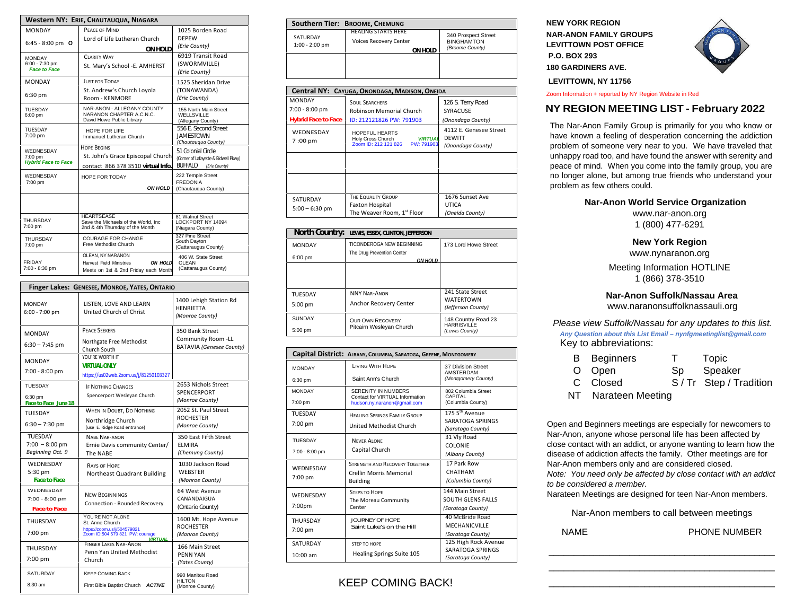| Western NY: ERIE, CHAUTAUQUA, NIAGARA              |                                                                                    |                                         |  |
|----------------------------------------------------|------------------------------------------------------------------------------------|-----------------------------------------|--|
| <b>MONDAY</b>                                      | PEACE OF MIND                                                                      | 1025 Borden Road                        |  |
| 6:45 - 8:00 pm $O$                                 | Lord of Life Lutheran Church                                                       | <b>DEPEW</b>                            |  |
|                                                    | ON HOLD                                                                            | (Erie County)                           |  |
| <b>MONDAY</b><br>6:00 - 7:30 pm                    | <b>CLARITY WAY</b>                                                                 | 6919 Transit Road                       |  |
| <b>Face to Face</b>                                | St. Mary's School -E. AMHERST                                                      | (SWORMVILLE)<br>(Erie County)           |  |
| <b>MONDAY</b>                                      | <b>JUST FOR TODAY</b>                                                              | 1525 Sheridan Drive                     |  |
| 6:30 pm                                            | St. Andrew's Church Loyola                                                         | (TONAWANDA)                             |  |
|                                                    | Room - KENMORE                                                                     | (Erie County)                           |  |
| TUESDAY                                            | NAR-ANON - ALLEGANY COUNTY<br>NARANON CHAPTER A.C.N.C.                             | 155 North Main Street                   |  |
| 6:00 pm                                            | David Howe Public Library                                                          | WELLSVILLE<br>(Allegany County)         |  |
| TUESDAY                                            | HOPE FOR LIFE                                                                      | 556 F. Second Street                    |  |
| 7:00 pm                                            | Immanuel Lutheran Church                                                           | <b>JAMESTOWN</b><br>(Chautaugua County) |  |
| WEDNESDAY<br>7:00 pm<br><b>Hybrid Face to Face</b> | <b>HOPE BEGINS</b>                                                                 | 51 Colonial Circle                      |  |
|                                                    | St. John's Grace Episcopal Church                                                  | (Corner of Lafayette & Bidwell Pkwy)    |  |
|                                                    | contact 866 378 3510 virtual Info.                                                 | <b>BUFFALO</b><br>(Erie County)         |  |
| WEDNESDAY                                          | HOPE FOR TODAY                                                                     | 222 Temple Street<br><b>FREDONIA</b>    |  |
| 7:00 pm                                            | <b>ON HOLD</b>                                                                     | (Chautauqua County)                     |  |
|                                                    |                                                                                    |                                         |  |
|                                                    |                                                                                    |                                         |  |
| THURSDAY                                           | <b>HEARTSFASE</b><br>Save the Michaels of the World, Inc.                          | 81 Walnut Street<br>LOCKPORT NY 14094   |  |
| 7:00 pm                                            | 2nd & 4th Thursday of the Month                                                    | (Niagara County)                        |  |
| <b>THURSDAY</b>                                    | <b>COURAGE FOR CHANGE</b>                                                          | 327 Pine Street<br>South Dayton         |  |
| 7:00 pm                                            | Free Methodist Church                                                              | (Cattaraugus County)                    |  |
| FRIDAY                                             | OLEAN. NY NARANON                                                                  | 406 W. State Street                     |  |
| 7:00 - 8:30 pm                                     | ON HOLD<br><b>Harvest Field Ministries</b><br>Meets on 1st & 2nd Friday each Month | <b>OLEAN</b><br>(Cattaraugus County)    |  |
|                                                    |                                                                                    |                                         |  |

| Finger Lakes: GENESEE, MONROE, YATES, ONTARIO          |                                                                                                                         |                                                                          |  |
|--------------------------------------------------------|-------------------------------------------------------------------------------------------------------------------------|--------------------------------------------------------------------------|--|
| <b>MONDAY</b><br>$6:00 - 7:00$ pm                      | LISTEN, LOVE AND LEARN<br>United Church of Christ                                                                       | 1400 Lehigh Station Rd<br><b>HENRIETTA</b><br>(Monroe County)            |  |
| <b>MONDAY</b><br>$6:30 - 7:45$ pm                      | <b>PEACE SEEKERS</b><br>Northgate Free Methodist<br>Church South                                                        | 350 Bank Street<br>Community Room -LL<br><b>BATAVIA (Genesee County)</b> |  |
| <b>MONDAY</b><br>7:00 - 8:00 pm                        | YOU'RE WORTH IT<br><b>VIRTUAI -ONI Y</b><br>https://us02web.zoom.us/j/81250103327                                       |                                                                          |  |
| <b>TUESDAY</b><br>6:30 pm<br>Face to Face June 18      | <b>IF NOTHING CHANGES</b><br>Spencerport Wesleyan Church                                                                | 2653 Nichols Street<br>SPENCERPORT<br>(Monroe County)                    |  |
| TUESDAY<br>$6:30 - 7:30$ pm                            | WHEN IN DOUBT, DO NOTHING<br>Northridge Church<br>(use E. Ridge Road entrance)                                          | 2052 St. Paul Street<br><b>ROCHESTER</b><br>(Monroe County)              |  |
| <b>TUESDAY</b><br>$7:00 - 8:00$ pm<br>Beginning Oct. 9 | NARE NAR-ANON<br>Ernie Davis community Center/<br>The NABE                                                              | 350 East Fifth Street<br><b>ELMIRA</b><br>(Chemung County)               |  |
| WEDNESDAY<br>5:30 pm<br><b>Face to Face</b>            | <b>RAYS OF HOPE</b><br>Northeast Quadrant Building                                                                      | 1030 Jackson Road<br><b>WEBSTER</b><br>(Monroe County)                   |  |
| WEDNESDAY<br>7:00 - 8:00 pm<br><b>Face to Face</b>     | <b>NEW BEGINNINGS</b><br>Connection - Rounded Recovery                                                                  | 64 West Avenue<br>CANANDAIGUA<br>(Ontario County)                        |  |
| THURSDAY<br>7:00 pm                                    | YOU'RE NOT ALONE<br>St. Anne Church<br>https://zoom.us/j/504579821<br>Zoom ID:504 579 821 PW: courage<br><b>VIRTUAL</b> | 1600 Mt. Hope Avenue<br><b>ROCHESTER</b><br>(Monroe County)              |  |
| THURSDAY<br>7:00 pm                                    | <b>FINGER LAKES NAR-ANON</b><br>Penn Yan United Methodist<br>Church                                                     | 166 Main Street<br>PENN YAN<br>(Yates County)                            |  |
| SATURDAY<br>8:30 am                                    | <b>KEEP COMING BACK</b><br>First Bible Baptist Church ACTIVE                                                            | 990 Manitou Road<br><b>HILTON</b><br>(Monroe County)                     |  |

|                              | Southern Tier: BROOME, CHEMUNG                                  |                                                             |
|------------------------------|-----------------------------------------------------------------|-------------------------------------------------------------|
| SATURDAY<br>$1:00 - 2:00$ pm | <b>HEALING STARTS HERE</b><br>Voices Recovery Center<br>ON HOLD | 340 Prospect Street<br><b>BINGHAMTON</b><br>(Broome County) |
|                              |                                                                 |                                                             |

| Central NY: CAYUGA, ONONDAGA, MADISON, ONEIDA      |                                                                                                                      |                                                                                   |  |
|----------------------------------------------------|----------------------------------------------------------------------------------------------------------------------|-----------------------------------------------------------------------------------|--|
| <b>MONDAY</b><br>7:00 - 8:00 pm                    | <b>SOUL SEARCHERS</b><br>Robinson Memorial Church                                                                    | 126 S. Terry Road<br><b>SYRACUSE</b>                                              |  |
| <b>Hybrid Face to Face</b><br>WEDNESDAY<br>7:00 pm | ID: 212121826 PW: 791903<br>HOPEFUL HEARTS<br><b>VIRTUAL</b><br>Holy Cross Church<br>Zoom ID: 212 121 826 PW: 791903 | (Onondaga County)<br>4112 E. Genesee Street<br><b>DEWITT</b><br>(Onondaga County) |  |
|                                                    |                                                                                                                      |                                                                                   |  |
|                                                    |                                                                                                                      |                                                                                   |  |
| SATURDAY<br>$5:00 - 6:30$ pm                       | THE EQUALITY GROUP<br><b>Faxton Hospital</b><br>The Weaver Room, 1st Floor                                           | 1676 Sunset Ave<br><b>UTICA</b><br>(Oneida County)                                |  |

| North Country: | LEWIS, ESSEX, CLINTON, JEFFERSON       |                                        |
|----------------|----------------------------------------|----------------------------------------|
| <b>MONDAY</b>  | TICONDEROGA NEW BEGINNING              | 173 Lord Howe Street                   |
| 6:00 pm        | The Drug Prevention Center<br>ON HOI D |                                        |
|                |                                        |                                        |
|                |                                        |                                        |
| <b>TUESDAY</b> | <b>NNY NAR-ANON</b>                    | 241 State Street                       |
| $5:00$ pm      | Anchor Recovery Center                 | <b>WATERTOWN</b><br>(Jefferson County) |
| <b>SUNDAY</b>  | <b>OUR OWN RECOVERY</b>                | 148 Country Road 23                    |
| 5:00 pm        | Pitcairn Wesleyan Church               | <b>HARRISVILLE</b><br>(Lewis County)   |

|                | Capital District: ALBANY, COLUMBIA, SARATOGA, GREENE, MONTGOMERY |                                                |
|----------------|------------------------------------------------------------------|------------------------------------------------|
| <b>MONDAY</b>  | <b>LIVING WITH HOPE</b>                                          | 37 Division Street<br>AMSTERDAM                |
| 6:30 pm        | Saint Ann's Church                                               | (Montgomery County)                            |
| <b>MONDAY</b>  | SERENITY IN NUMBERS<br>Contact for VIRTUAL Information           | 802 Columbia Street<br>CAPITAL                 |
| 7:00 pm        | hudson.ny.naranon@gmail.com                                      | (Columbia County)                              |
| TUESDAY        | <b>HEALING SPRINGS FAMILY GROUP</b>                              | 175.5 <sup>th</sup> Avenue<br>SARATOGA SPRINGS |
| 7:00 pm        | United Methodist Church                                          | (Saratoga County)                              |
| TUESDAY        | <b>NEVER ALONE</b>                                               | 31 Vly Road<br><b>COLONIE</b>                  |
| 7:00 - 8:00 pm | Capital Church                                                   | (Albany County)                                |
| WEDNESDAY      | <b>STRENGTH AND RECOVERY TOGETHER</b>                            | 17 Park Row                                    |
| 7:00 pm        | Crellin Morris Memorial                                          | CHATHAM<br>(Columbia County)                   |
|                | <b>Building</b>                                                  |                                                |
| WEDNESDAY      | <b>STEPS TO HOPE</b><br>The Moreau Community                     | 144 Main Street<br><b>SOUTH GLENS FALLS</b>    |
| 7:00pm         | Center                                                           | (Saratoga County)                              |
| THURSDAY       | <b>JOURNEY OF HOPE</b>                                           | 40 McBride Road                                |
| 7:00 pm        | Saint Luke's on the Hill                                         | <b>MECHANICVILLE</b>                           |
|                |                                                                  | (Saratoga County)                              |
| SATURDAY       | STEP TO HOPE                                                     | 125 High Rock Avenue                           |
| $10:00$ am     | <b>Healing Springs Suite 105</b>                                 | SARATOGA SPRINGS<br>(Saratoga County)          |

## KEEP COMING BACK!

**NEW YORK REGION NAR-ANON FAMILY GROUPS LEVITTOWN POST OFFICE P.O. BOX 293 180 GARDINERS AVE.** 



 **LEVITTOWN, NY 11756**

Zoom Information + reported by NY Region Website in Red

## **NY REGION MEETING LIST - February 2022**

The Nar-Anon Family Group is primarily for you who know or have known a feeling of desperation concerning the addiction problem of someone very near to you. We have traveled that unhappy road too, and have found the answer with serenity and peace of mind. When you come into the family group, you are no longer alone, but among true friends who understand your problem as few others could.

#### **Nar-Anon World Service Organization**

www.nar-anon.org 1 (800) 477-6291

#### **New York Region**

www.nynaranon.org

Meeting Information HOTLINE 1 (866) 378-3510

### **Nar-Anon Suffolk/Nassau Area**

www.naranonsuffolknassauli.org

*Please view Suffolk/Nassau for any updates to this list. Any Question about this List Email – nynfgmeetinglist@gmail.com*  Key to abbreviations:

| <b>B</b> Beginners  | $\top$ | Topic               |
|---------------------|--------|---------------------|
| O Open              | Sp     | Speaker             |
| C Closed            |        | S/Tr Step/Tradition |
| NT Narateen Meeting |        |                     |

Open and Beginners meetings are especially for newcomers to Nar-Anon, anyone whose personal life has been affected by close contact with an addict, or anyone wanting to learn how the disease of addiction affects the family. Other meetings are for Nar-Anon members only and are considered closed. *Note: You need only be affected by close contact with an addict to be considered a member.*

Narateen Meetings are designed for teen Nar-Anon members.

Nar-Anon members to call between meetings

\_\_\_\_\_\_\_\_\_\_\_\_\_\_\_\_\_\_\_\_\_\_\_\_\_\_\_\_\_\_\_\_\_\_\_\_\_\_\_\_\_\_\_\_\_ \_\_\_\_\_\_\_\_\_\_\_\_\_\_\_\_\_\_\_\_\_\_\_\_\_\_\_\_\_\_\_\_\_\_\_\_\_\_\_\_\_\_\_\_\_ \_\_\_\_\_\_\_\_\_\_\_\_\_\_\_\_\_\_\_\_\_\_\_\_\_\_\_\_\_\_\_\_\_\_\_\_\_\_\_\_\_\_\_\_\_

NAME PHONE NUMBER